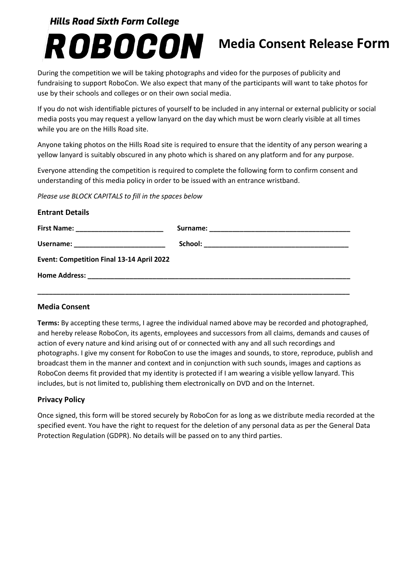### **Hills Road Sixth Form College**

# ROBOCON

## **Media Consent Release Form**

During the competition we will be taking photographs and video for the purposes of publicity and fundraising to support RoboCon. We also expect that many of the participants will want to take photos for use by their schools and colleges or on their own social media.

If you do not wish identifiable pictures of yourself to be included in any internal or external publicity or social media posts you may request a yellow lanyard on the day which must be worn clearly visible at all times while you are on the Hills Road site.

Anyone taking photos on the Hills Road site is required to ensure that the identity of any person wearing a yellow lanyard is suitably obscured in any photo which is shared on any platform and for any purpose.

Everyone attending the competition is required to complete the following form to confirm consent and understanding of this media policy in order to be issued with an entrance wristband.

*Please use BLOCK CAPITALS to fill in the spaces below*

| <b>Entrant Details</b>                    |  |
|-------------------------------------------|--|
|                                           |  |
| Username: ___________________________     |  |
| Event: Competition Final 13-14 April 2022 |  |
|                                           |  |
|                                           |  |

#### **Media Consent**

**Terms:** By accepting these terms, I agree the individual named above may be recorded and photographed, and hereby release RoboCon, its agents, employees and successors from all claims, demands and causes of action of every nature and kind arising out of or connected with any and all such recordings and photographs. I give my consent for RoboCon to use the images and sounds, to store, reproduce, publish and broadcast them in the manner and context and in conjunction with such sounds, images and captions as RoboCon deems fit provided that my identity is protected if I am wearing a visible yellow lanyard. This includes, but is not limited to, publishing them electronically on DVD and on the Internet.

#### **Privacy Policy**

Once signed, this form will be stored securely by RoboCon for as long as we distribute media recorded at the specified event. You have the right to request for the deletion of any personal data as per the General Data Protection Regulation (GDPR). No details will be passed on to any third parties.